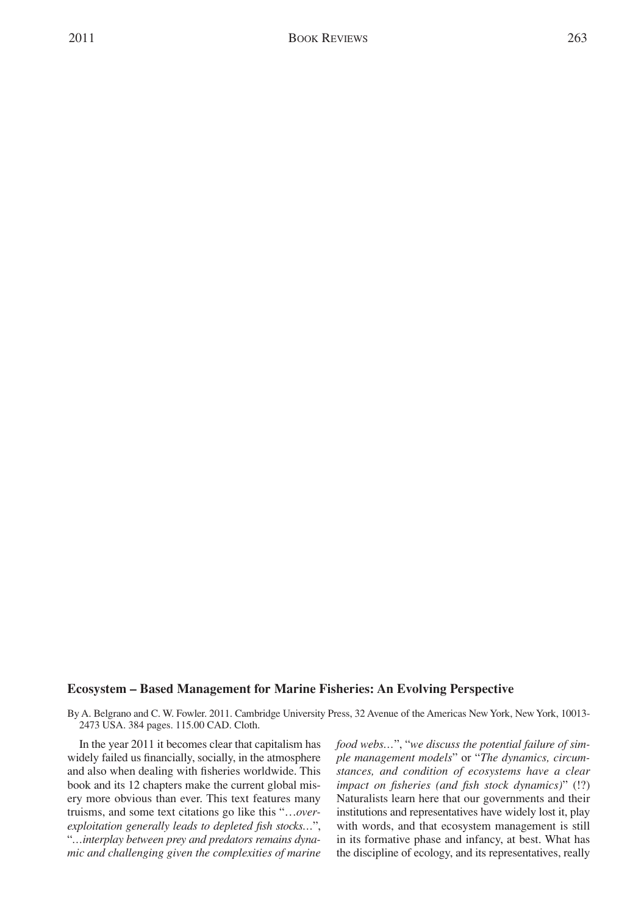## **Ecosystem – Based Management for Marine Fisheries: An Evolving Perspective**

By A. Belgrano and C. W. Fowler. 2011. Cambridge University Press, 32 Avenue of the Americas New York, New York, 10013- 2473 USA. 384 pages. 115.00 CAD. Cloth.

In the year 2011 it becomes clear that capitalism has widely failed us financially, socially, in the atmosphere and also when dealing with fisheries worldwide. This book and its 12 chapters make the current global misery more obvious than ever. This text features many truisms, and some text citations go like this "…*overexploitation generally leads to depleted fish stocks…*", "*…interplay between prey and predators remains dyna mic and challenging given the complexities of marine* *food webs…*", "*we discuss the potential failure of simple management models*" or "*The dynamics, circumstances, and condition of ecosystems have a clear impact on fisheries (and fish stock dynamics)*" (!?) Naturalists learn here that our governments and their institutions and representatives have widely lost it, play with words, and that ecosystem management is still in its formative phase and infancy, at best. What has the discipline of ecology, and its representatives, really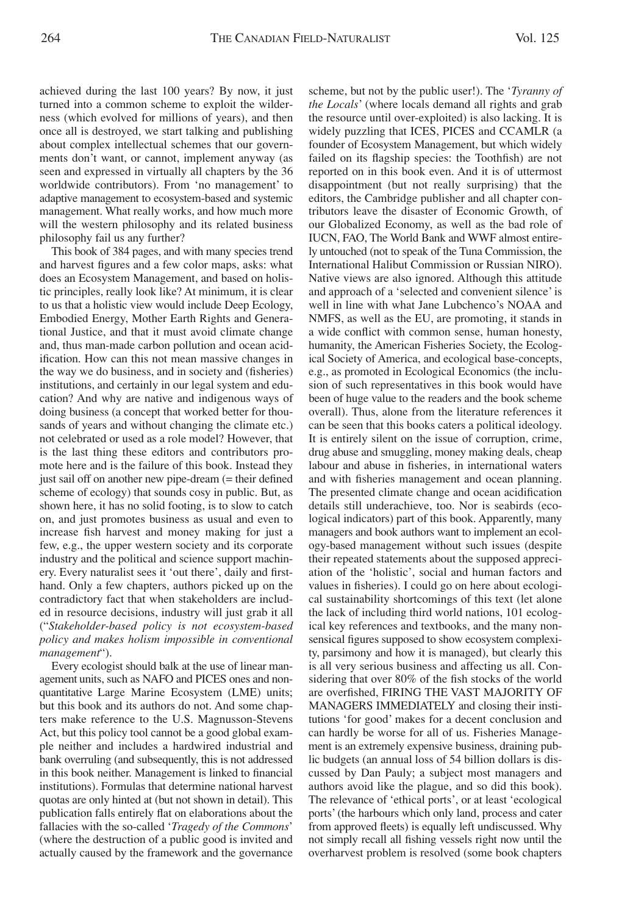achieved during the last 100 years? By now, it just turned into a common scheme to exploit the wilderness (which evolved for millions of years), and then once all is destroyed, we start talking and publishing about complex intellectual schemes that our governments don't want, or cannot, implement anyway (as seen and expressed in virtually all chapters by the 36 worldwide contributors). From 'no management' to adaptive management to ecosystem-based and systemic management. What really works, and how much more will the western philosophy and its related business philosophy fail us any further?

This book of 384 pages, and with many species trend and harvest figures and a few color maps, asks: what does an Ecosystem Management, and based on holistic principles, really look like? At minimum, it is clear to us that a holistic view would include Deep Ecology, Embodied Energy, Mother Earth Rights and Generational Justice, and that it must avoid climate change and, thus man-made carbon pollution and ocean acidification. How can this not mean massive changes in the way we do business, and in society and (fisheries) institutions, and certainly in our legal system and education? And why are native and indigenous ways of doing business (a concept that worked better for thousands of years and without changing the climate etc.) not celebrated or used as a role model? However, that is the last thing these editors and contributors promote here and is the failure of this book. Instead they just sail off on another new pipe-dream (= their defined scheme of ecology) that sounds cosy in public. But, as shown here, it has no solid footing, is to slow to catch on, and just promotes business as usual and even to increase fish harvest and money making for just a few, e.g., the upper western society and its corporate industry and the political and science support machinery. Every naturalist sees it 'out there', daily and firsthand. Only a few chapters, authors picked up on the contradictory fact that when stakeholders are included in resource decisions, industry will just grab it all ("*Stakeholder-based policy is not ecosystem-based policy and makes holism impossible in conventional management*").

Every ecologist should balk at the use of linear management units, such as NAFO and PICES ones and nonquantitative Large Marine Ecosystem (LME) units; but this book and its authors do not. And some chapters make reference to the U.S. Magnusson-Stevens Act, but this policy tool cannot be a good global example neither and includes a hardwired industrial and bank overruling (and subsequently, this is not addressed in this book neither. Management is linked to financial institutions). Formulas that determine national harvest quotas are only hinted at (but not shown in detail). This publication falls entirely flat on elaborations about the fallacies with the so-called '*Tragedy of the Commons*' (where the destruction of a public good is invited and actually caused by the framework and the governance scheme, but not by the public user!). The '*Tyranny of the Locals*' (where locals demand all rights and grab the resource until over-exploited) is also lacking. It is widely puzzling that ICES, PICES and CCAMLR (a founder of Ecosystem Management, but which widely failed on its flagship species: the Toothfish) are not reported on in this book even. And it is of uttermost disappointment (but not really surprising) that the editors, the Cambridge publisher and all chapter contributors leave the disaster of Economic Growth, of our Globalized Economy, as well as the bad role of IUCN, FAO, The World Bank and WWF almost entirely untouched (not to speak of the Tuna Commission, the International Halibut Commission or Russian NIRO). Native views are also ignored. Although this attitude and approach of a 'selected and convenient silence'is well in line with what Jane Lubchenco's NOAA and NMFS, as well as the EU, are promoting, it stands in a wide conflict with common sense, human honesty, humanity, the American Fisheries Society, the Ecological Society of America, and ecological base-concepts, e.g., as promoted in Ecological Economics (the inclusion of such representatives in this book would have been of huge value to the readers and the book scheme overall). Thus, alone from the literature references it can be seen that this books caters a political ideology. It is entirely silent on the issue of corruption, crime, drug abuse and smuggling, money making deals, cheap labour and abuse in fisheries, in international waters and with fisheries management and ocean planning. The presented climate change and ocean acidification details still underachieve, too. Nor is seabirds (ecological indicators) part of this book. Apparently, many managers and book authors want to implement an ecology-based management without such issues (despite their repeated statements about the supposed appreciation of the 'holistic', social and human factors and values in fisheries). I could go on here about ecological sustainability shortcomings of this text (let alone the lack of including third world nations, 101 ecological key references and textbooks, and the many nonsensical figures supposed to show ecosystem complexity, parsimony and how it is managed), but clearly this is all very serious business and affecting us all. Considering that over 80% of the fish stocks of the world are overfished, FIRING THE VAST MAJORITY OF MANAGERS IMMEDIATELY and closing their institutions 'for good' makes for a decent conclusion and can hardly be worse for all of us. Fisheries Management is an extremely expensive business, draining public budgets (an annual loss of 54 billion dollars is discussed by Dan Pauly; a subject most managers and authors avoid like the plague, and so did this book). The relevance of 'ethical ports', or at least 'ecological ports'(the harbours which only land, process and cater from approved fleets) is equally left undiscussed. Why not simply recall all fishing vessels right now until the overharvest problem is resolved (some book chapters